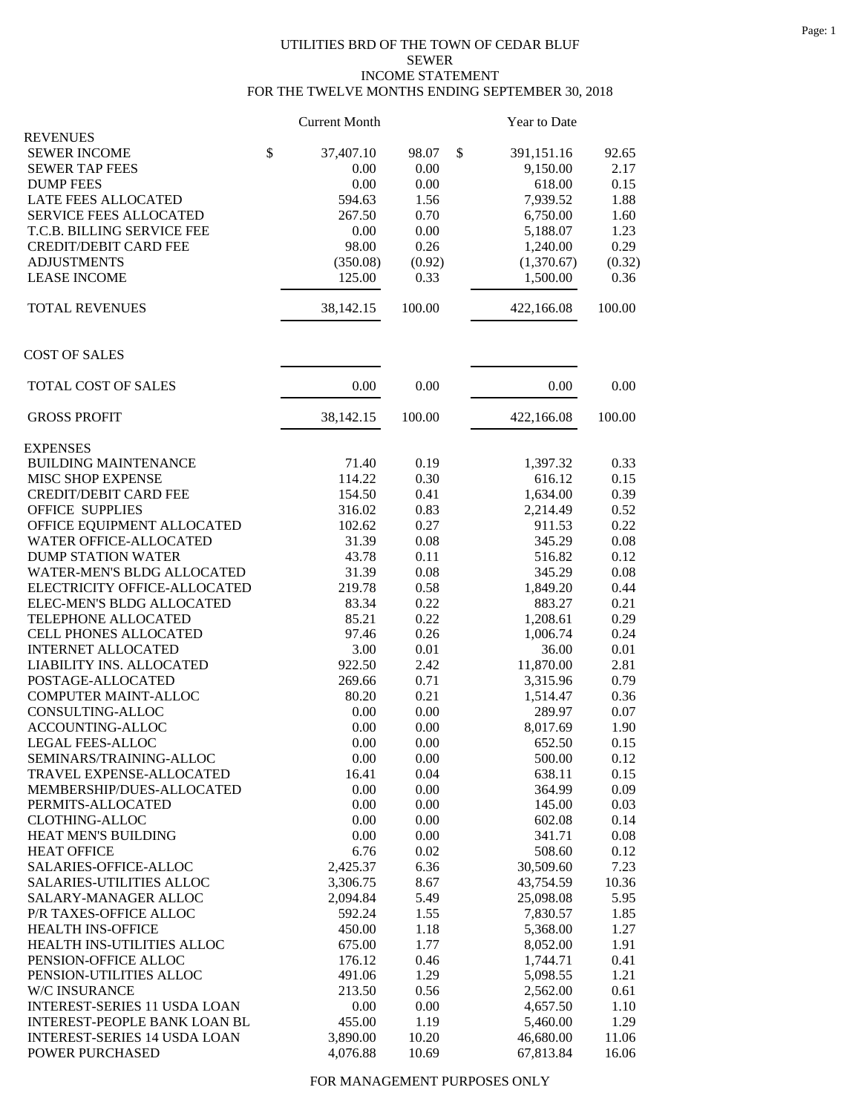## UTILITIES BRD OF THE TOWN OF CEDAR BLUF SEWER INCOME STATEMENT FOR THE TWELVE MONTHS ENDING SEPTEMBER 30, 2018

|                                     | <b>Current Month</b> |        | Year to Date     |        |
|-------------------------------------|----------------------|--------|------------------|--------|
| <b>REVENUES</b>                     |                      |        |                  |        |
| <b>SEWER INCOME</b>                 | \$<br>37,407.10      | 98.07  | \$<br>391,151.16 | 92.65  |
| <b>SEWER TAP FEES</b>               | 0.00                 | 0.00   | 9,150.00         | 2.17   |
| <b>DUMP FEES</b>                    | 0.00                 | 0.00   | 618.00           | 0.15   |
| LATE FEES ALLOCATED                 | 594.63               | 1.56   | 7,939.52         | 1.88   |
| SERVICE FEES ALLOCATED              | 267.50               | 0.70   | 6,750.00         | 1.60   |
| T.C.B. BILLING SERVICE FEE          | 0.00                 | 0.00   | 5,188.07         | 1.23   |
| <b>CREDIT/DEBIT CARD FEE</b>        | 98.00                | 0.26   | 1,240.00         | 0.29   |
| <b>ADJUSTMENTS</b>                  | (350.08)             | (0.92) | (1,370.67)       | (0.32) |
| <b>LEASE INCOME</b>                 | 125.00               | 0.33   | 1,500.00         | 0.36   |
| <b>TOTAL REVENUES</b>               | 38,142.15            | 100.00 | 422,166.08       | 100.00 |
| <b>COST OF SALES</b>                |                      |        |                  |        |
| TOTAL COST OF SALES                 | 0.00                 | 0.00   | 0.00             | 0.00   |
| <b>GROSS PROFIT</b>                 | 38,142.15            | 100.00 | 422,166.08       | 100.00 |
| <b>EXPENSES</b>                     |                      |        |                  |        |
| <b>BUILDING MAINTENANCE</b>         | 71.40                | 0.19   | 1,397.32         | 0.33   |
| MISC SHOP EXPENSE                   | 114.22               | 0.30   | 616.12           | 0.15   |
| <b>CREDIT/DEBIT CARD FEE</b>        | 154.50               | 0.41   | 1,634.00         | 0.39   |
| <b>OFFICE SUPPLIES</b>              | 316.02               | 0.83   | 2,214.49         | 0.52   |
| OFFICE EQUIPMENT ALLOCATED          | 102.62               | 0.27   | 911.53           | 0.22   |
| WATER OFFICE-ALLOCATED              | 31.39                | 0.08   | 345.29           | 0.08   |
| <b>DUMP STATION WATER</b>           | 43.78                | 0.11   | 516.82           | 0.12   |
| WATER-MEN'S BLDG ALLOCATED          | 31.39                | 0.08   | 345.29           | 0.08   |
| ELECTRICITY OFFICE-ALLOCATED        | 219.78               | 0.58   | 1,849.20         | 0.44   |
| ELEC-MEN'S BLDG ALLOCATED           | 83.34                | 0.22   | 883.27           | 0.21   |
| TELEPHONE ALLOCATED                 | 85.21                | 0.22   | 1,208.61         | 0.29   |
| CELL PHONES ALLOCATED               | 97.46                | 0.26   | 1,006.74         | 0.24   |
| <b>INTERNET ALLOCATED</b>           | 3.00                 | 0.01   | 36.00            | 0.01   |
| LIABILITY INS. ALLOCATED            | 922.50               | 2.42   | 11,870.00        | 2.81   |
| POSTAGE-ALLOCATED                   | 269.66               | 0.71   | 3,315.96         | 0.79   |
| COMPUTER MAINT-ALLOC                | 80.20                | 0.21   | 1,514.47         | 0.36   |
| CONSULTING-ALLOC                    | 0.00                 | 0.00   | 289.97           | 0.07   |
| ACCOUNTING-ALLOC                    | 0.00                 | 0.00   | 8,017.69         | 1.90   |
| LEGAL FEES-ALLOC                    | 0.00                 | 0.00   | 652.50           | 0.15   |
| SEMINARS/TRAINING-ALLOC             | 0.00                 | 0.00   |                  | 0.12   |
|                                     |                      |        | 500.00<br>638.11 |        |
| TRAVEL EXPENSE-ALLOCATED            | 16.41                | 0.04   |                  | 0.15   |
| MEMBERSHIP/DUES-ALLOCATED           | 0.00                 | 0.00   | 364.99           | 0.09   |
| PERMITS-ALLOCATED                   | 0.00                 | 0.00   | 145.00           | 0.03   |
| <b>CLOTHING-ALLOC</b>               | 0.00                 | 0.00   | 602.08           | 0.14   |
| HEAT MEN'S BUILDING                 | 0.00                 | 0.00   | 341.71           | 0.08   |
| <b>HEAT OFFICE</b>                  | 6.76                 | 0.02   | 508.60           | 0.12   |
| SALARIES-OFFICE-ALLOC               | 2,425.37             | 6.36   | 30,509.60        | 7.23   |
| SALARIES-UTILITIES ALLOC            | 3,306.75             | 8.67   | 43,754.59        | 10.36  |
| SALARY-MANAGER ALLOC                | 2,094.84             | 5.49   | 25,098.08        | 5.95   |
| P/R TAXES-OFFICE ALLOC              | 592.24               | 1.55   | 7,830.57         | 1.85   |
| HEALTH INS-OFFICE                   | 450.00               | 1.18   | 5,368.00         | 1.27   |
| HEALTH INS-UTILITIES ALLOC          | 675.00               | 1.77   | 8,052.00         | 1.91   |
| PENSION-OFFICE ALLOC                | 176.12               | 0.46   | 1,744.71         | 0.41   |
| PENSION-UTILITIES ALLOC             | 491.06               | 1.29   | 5,098.55         | 1.21   |
| W/C INSURANCE                       | 213.50               | 0.56   | 2,562.00         | 0.61   |
| <b>INTEREST-SERIES 11 USDA LOAN</b> | 0.00                 | 0.00   | 4,657.50         | 1.10   |
| INTEREST-PEOPLE BANK LOAN BL        | 455.00               | 1.19   | 5,460.00         | 1.29   |
| <b>INTEREST-SERIES 14 USDA LOAN</b> | 3,890.00             | 10.20  | 46,680.00        | 11.06  |
| POWER PURCHASED                     | 4,076.88             | 10.69  | 67,813.84        | 16.06  |

FOR MANAGEMENT PURPOSES ONLY